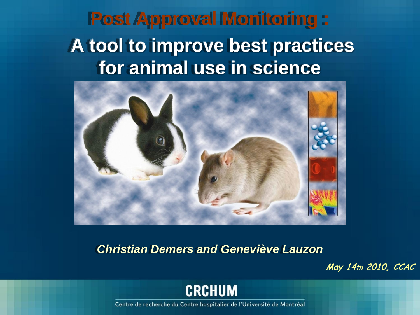**Post Approval Monitoring :: A tool to improve best practices for animal use in science**



*Christian Demers and Geneviève Lauzon*

**May 14th 2010, CCAC**

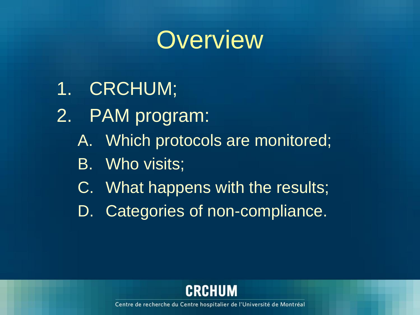

- 1. CRCHUM;
- 2. PAM program:
	- A. Which protocols are monitored;
	- B. Who visits;
	- C. What happens with the results;
	- D. Categories of non-compliance.

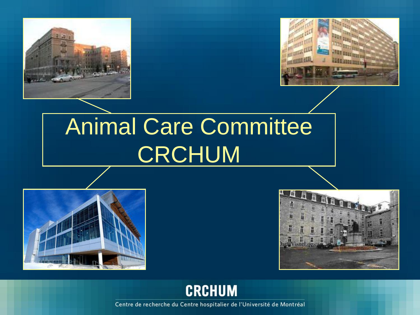



### Animal Care Committee CRCHUM





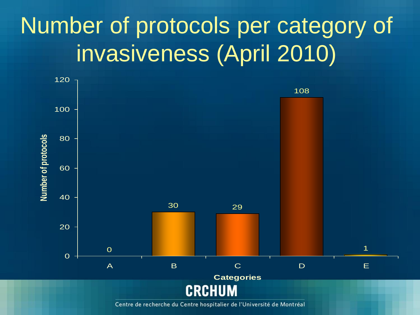### Number of protocols per category of invasiveness (April 2010)

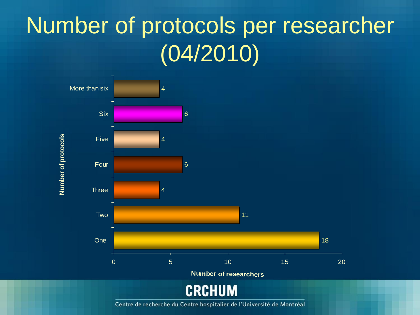#### Number of protocols per researcher  $(04/2010)$

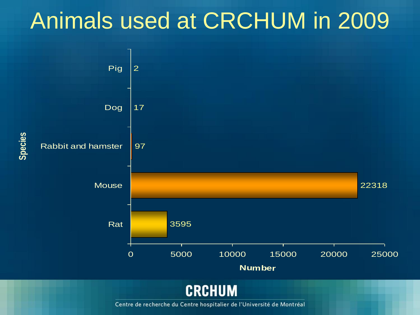#### Animals used at CRCHUM in 2009

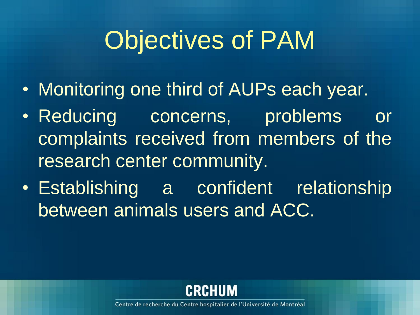# Objectives of PAM

- Monitoring one third of AUPs each year.
- Reducing concerns, problems or complaints received from members of the research center community.
- Establishing a confident relationship between animals users and ACC.

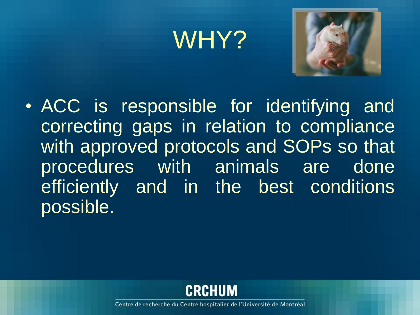### WHY?



• ACC is responsible for identifying and correcting gaps in relation to compliance with approved protocols and SOPs so that procedures with animals are done efficiently and in the best conditions possible.

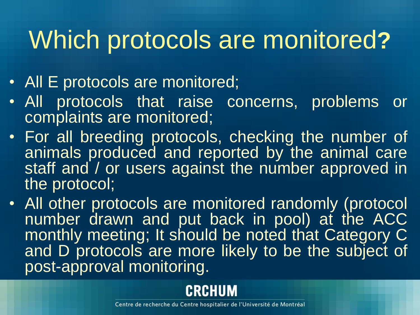## Which protocols are monitored**?**

- All E protocols are monitored;
- All protocols that raise concerns, problems or complaints are monitored;
- For all breeding protocols, checking the number of animals produced and reported by the animal care staff and / or users against the number approved in the protocol;
- All other protocols are monitored randomly (protocol number drawn and put back in pool) at the ACC monthly meeting; It should be noted that Category C and D protocols are more likely to be the subject of post-approval monitoring.

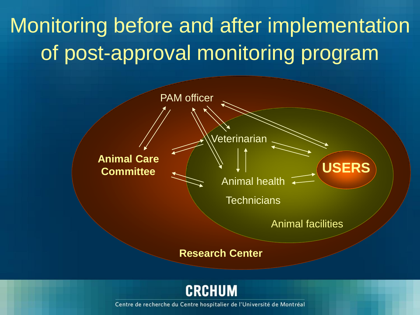#### Monitoring before and after implementation of post-approval monitoring program



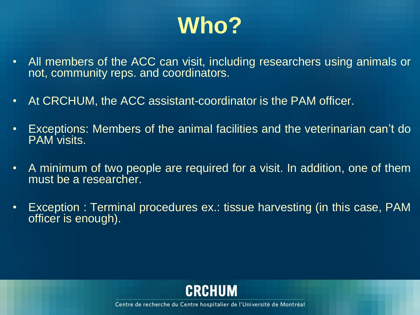### **Who?**

- All members of the ACC can visit, including researchers using animals or not, community reps. and coordinators.
- At CRCHUM, the ACC assistant-coordinator is the PAM officer.
- Exceptions: Members of the animal facilities and the veterinarian can't do PAM visits.
- A minimum of two people are required for a visit. In addition, one of them must be a researcher.
- Exception : Terminal procedures ex.: tissue harvesting (in this case, PAM officer is enough).

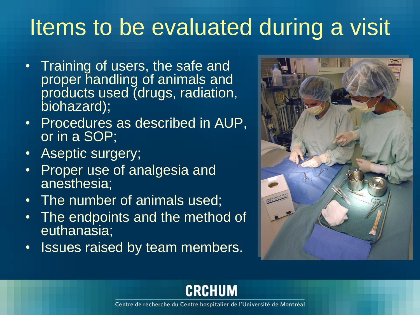#### Items to be evaluated during a visit

- Training of users, the safe and proper handling of animals and products used (drugs, radiation, biohazard);
- Procedures as described in AUP, or in a SOP;
- Aseptic surgery;
- Proper use of analgesia and anesthesia;
- The number of animals used;
- The endpoints and the method of euthanasia;
- Issues raised by team members.



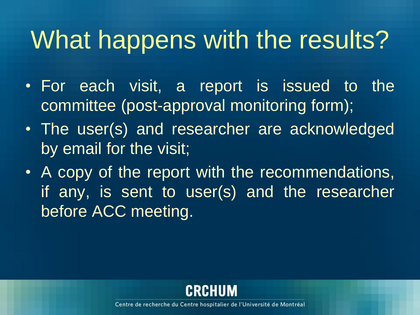## What happens with the results?

- For each visit, a report is issued to the committee (post-approval monitoring form);
- The user(s) and researcher are acknowledged by email for the visit;
- A copy of the report with the recommendations, if any, is sent to user(s) and the researcher before ACC meeting.

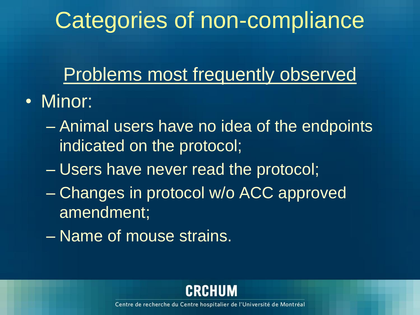### Categories of non-compliance

#### Problems most frequently observed

- Minor:
	- Animal users have no idea of the endpoints indicated on the protocol;
	- Users have never read the protocol;
	- Changes in protocol w/o ACC approved amendment;
	- Name of mouse strains.

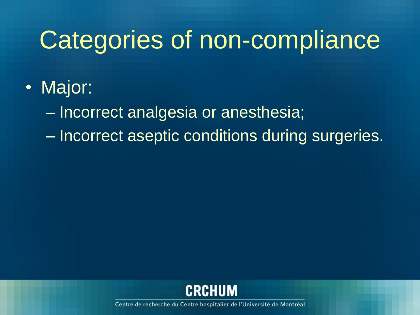### Categories of non-compliance

• Major:

– Incorrect analgesia or anesthesia;

– Incorrect aseptic conditions during surgeries.

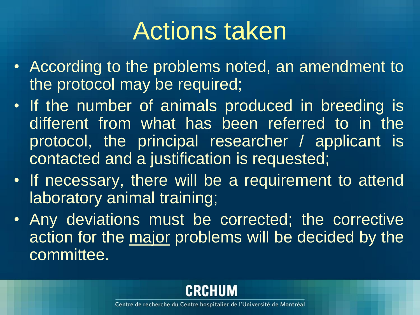### Actions taken

- According to the problems noted, an amendment to the protocol may be required;
- If the number of animals produced in breeding is different from what has been referred to in the protocol, the principal researcher / applicant is contacted and a justification is requested;
- If necessary, there will be a requirement to attend laboratory animal training;
- Any deviations must be corrected; the corrective action for the major problems will be decided by the committee.

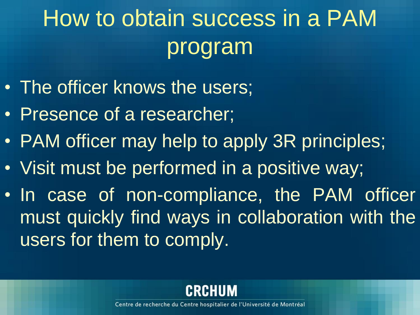### How to obtain success in a PAM program

- The officer knows the users;
- Presence of a researcher;
- PAM officer may help to apply 3R principles;
- Visit must be performed in a positive way;
- In case of non-compliance, the PAM officer must quickly find ways in collaboration with the users for them to comply.